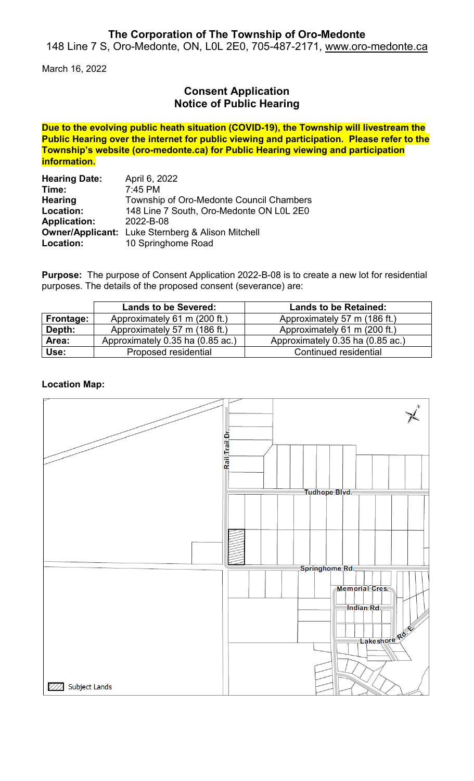## **The Corporation of The Township of Oro-Medonte**

148 Line 7 S, Oro-Medonte, ON, L0L 2E0, 705-487-2171, [www.oro-medonte.ca](http://www.oro-medonte.ca/)

March 16, 2022

## **Consent Application Notice of Public Hearing**

**Due to the evolving public heath situation (COVID-19), the Township will livestream the Public Hearing over the internet for public viewing and participation. Please refer to the Township's website (oro-medonte.ca) for Public Hearing viewing and participation information.**

| <b>Hearing Date:</b> | April 6, 2022                                            |
|----------------------|----------------------------------------------------------|
| Time:                | $7:45$ PM                                                |
| <b>Hearing</b>       | Township of Oro-Medonte Council Chambers                 |
| Location:            | 148 Line 7 South, Oro-Medonte ON L0L 2E0                 |
| <b>Application:</b>  | 2022-B-08                                                |
|                      | <b>Owner/Applicant:</b> Luke Sternberg & Alison Mitchell |
| Location:            | 10 Springhome Road                                       |

**Purpose:** The purpose of Consent Application 2022-B-08 is to create a new lot for residential purposes. The details of the proposed consent (severance) are:

|                  | <b>Lands to be Severed:</b>      | <b>Lands to be Retained:</b>     |
|------------------|----------------------------------|----------------------------------|
| <b>Frontage:</b> | Approximately 61 m (200 ft.)     | Approximately 57 m (186 ft.)     |
| Depth:           | Approximately 57 m (186 ft.)     | Approximately 61 m (200 ft.)     |
| Area:            | Approximately 0.35 ha (0.85 ac.) | Approximately 0.35 ha (0.85 ac.) |
| Use:             | Proposed residential             | Continued residential            |

### **Location Map:**

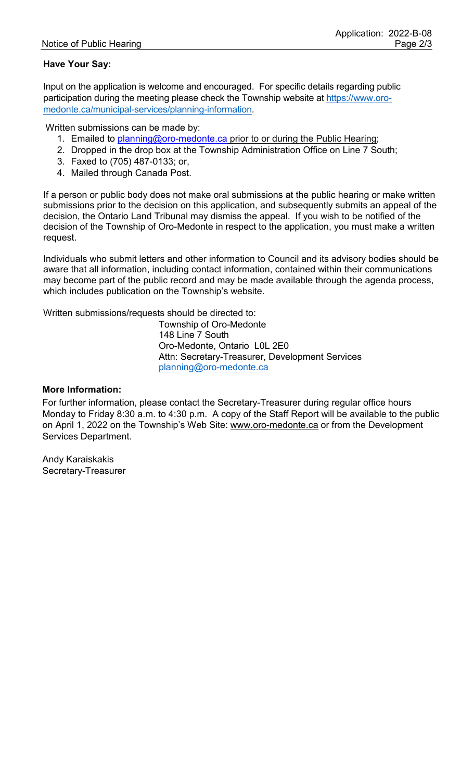### **Have Your Say:**

Input on the application is welcome and encouraged. For specific details regarding public participation during the meeting please check the Township website at [https://www.oro](https://www.oro-medonte.ca/municipal-services/planning-information)[medonte.ca/municipal-services/planning-information.](https://www.oro-medonte.ca/municipal-services/planning-information)

Written submissions can be made by:

- 1. Emailed to [planning@oro-medonte.ca](mailto:planning@oro-medonte.ca) prior to or during the Public Hearing;
- 2. Dropped in the drop box at the Township Administration Office on Line 7 South;
- 3. Faxed to (705) 487-0133; or,
- 4. Mailed through Canada Post.

If a person or public body does not make oral submissions at the public hearing or make written submissions prior to the decision on this application, and subsequently submits an appeal of the decision, the Ontario Land Tribunal may dismiss the appeal. If you wish to be notified of the decision of the Township of Oro-Medonte in respect to the application, you must make a written request.

Individuals who submit letters and other information to Council and its advisory bodies should be aware that all information, including contact information, contained within their communications may become part of the public record and may be made available through the agenda process, which includes publication on the Township's website.

Written submissions/requests should be directed to:

Township of Oro-Medonte 148 Line 7 South Oro-Medonte, Ontario L0L 2E0 Attn: Secretary-Treasurer, Development Services [planning@oro-medonte.ca](mailto:planning@oro-medonte.ca)

#### **More Information:**

For further information, please contact the Secretary-Treasurer during regular office hours Monday to Friday 8:30 a.m. to 4:30 p.m. A copy of the Staff Report will be available to the public on April 1, 2022 on the Township's Web Site: [www.oro-medonte.ca](http://www.oro-medonte.ca/) or from the Development Services Department.

Andy Karaiskakis Secretary-Treasurer